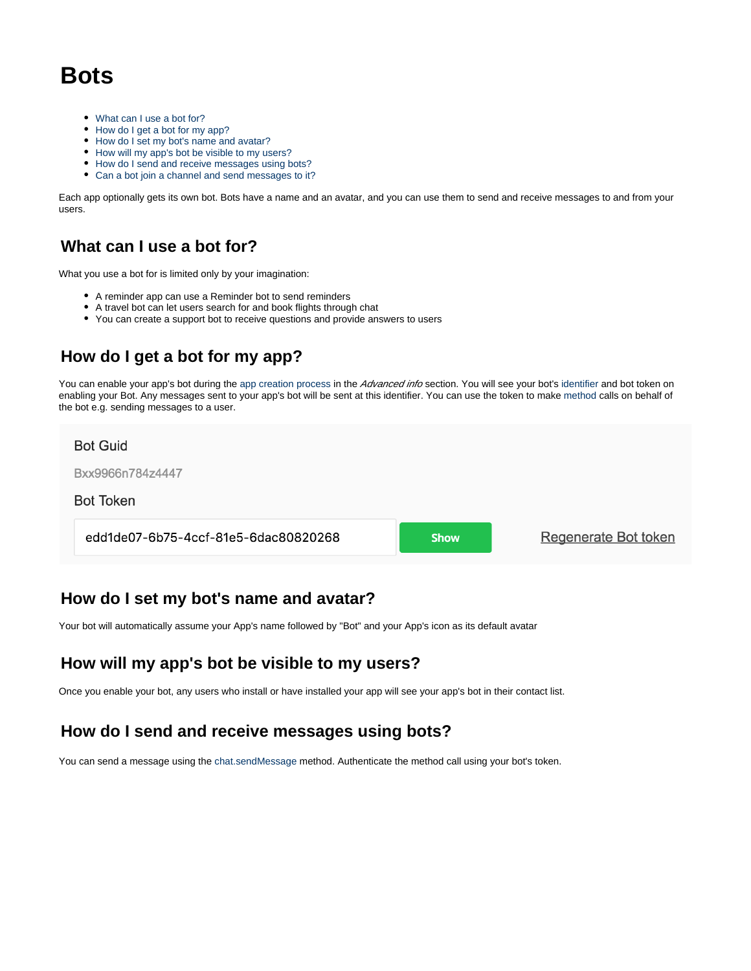# **Bots**

- [What can I use a bot for?](#page-0-0)
- [How do I get a bot for my app?](#page-0-1)
- [How do I set my bot's name and avatar?](#page-0-2)
- [How will my app's bot be visible to my users?](#page-0-3)
- [How do I send and receive messages using bots?](#page-0-4)
- [Can a bot join a channel and send messages to it?](#page-1-0)

Each app optionally gets its own bot. Bots have a name and an avatar, and you can use them to send and receive messages to and from your users.

### <span id="page-0-0"></span>**What can I use a bot for?**

What you use a bot for is limited only by your imagination:

- A reminder app can use a Reminder bot to send reminders
- A travel bot can let users search for and book flights through chat
- You can create a support bot to receive questions and provide answers to users

# <span id="page-0-1"></span>**How do I get a bot for my app?**

You can enable your app's bot during the [app creation process](https://docs.flock.com/display/flockos/Creating+an+App) in the Advanced info section. You will see your bot's [identifier](https://docs.flock.com/display/flockos/Identifiers) and bot token on enabling your Bot. Any messages sent to your app's bot will be sent at this identifier. You can use the token to make [method](https://docs.flock.com/display/flockos/Methods) calls on behalf of the bot e.g. sending messages to a user.

#### **Bot Guid**

Bxx9966n784z4447

#### **Bot Token**

edd1de07-6b75-4ccf-81e5-6dac80820268

**Show** 

Regenerate Bot token

### <span id="page-0-2"></span>**How do I set my bot's name and avatar?**

Your bot will automatically assume your App's name followed by "Bot" and your App's icon as its default avatar

### <span id="page-0-3"></span>**How will my app's bot be visible to my users?**

Once you enable your bot, any users who install or have installed your app will see your app's bot in their contact list.

## <span id="page-0-4"></span>**How do I send and receive messages using bots?**

You can send a message using the [chat.sendMessage](https://docs.flock.com/display/flockos/chat.sendMessage) method. Authenticate the method call using your bot's token.